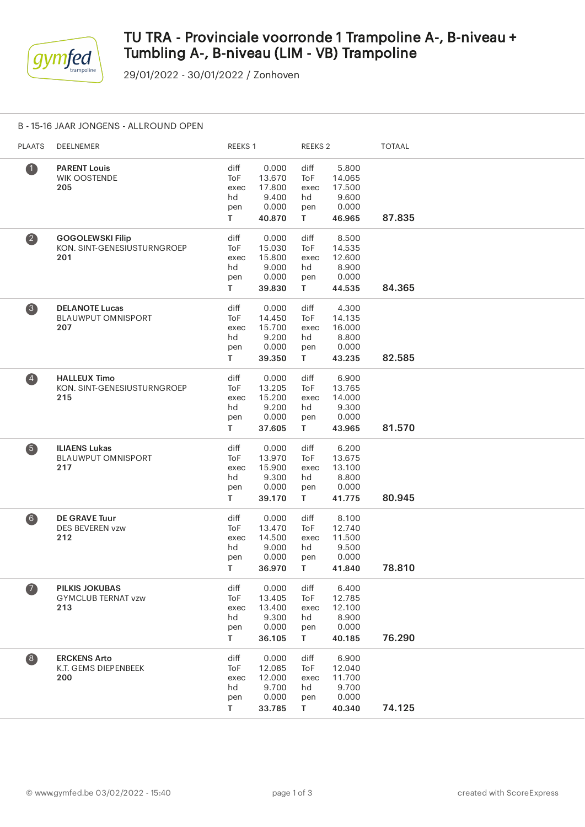

# TU TRA - Provinciale voorronde 1 Trampoline A-, B-niveau + Tumbling A-, B-niveau (LIM - VB) Trampoline

29/01/2022 - 30/01/2022 / Zonhoven

### B - 15-16 JAAR JONGENS - ALLROUND OPEN

| <b>PLAATS</b>           | DEELNEMER                                                     | REEKS 1                                       |                                                       | REEKS <sub>2</sub>                              |                                                       | <b>TOTAAL</b> |  |
|-------------------------|---------------------------------------------------------------|-----------------------------------------------|-------------------------------------------------------|-------------------------------------------------|-------------------------------------------------------|---------------|--|
| $\bullet$               | <b>PARENT Louis</b><br><b>WIK OOSTENDE</b><br>205             | diff<br>ToF<br>exec<br>hd<br>pen<br>T.        | 0.000<br>13.670<br>17.800<br>9.400<br>0.000<br>40.870 | diff<br>ToF<br>exec<br>hd<br>pen<br>T.          | 5.800<br>14.065<br>17.500<br>9.600<br>0.000<br>46.965 | 87.835        |  |
| $\overline{\mathbf{2}}$ | <b>GOGOLEWSKI Filip</b><br>KON. SINT-GENESIUSTURNGROEP<br>201 | diff<br>ToF<br>exec<br>hd<br>pen<br>T.        | 0.000<br>15.030<br>15.800<br>9.000<br>0.000<br>39.830 | diff<br>ToF<br>exec<br>hd<br>pen<br>T.          | 8.500<br>14.535<br>12.600<br>8.900<br>0.000<br>44.535 | 84.365        |  |
| $\bullet$               | <b>DELANOTE Lucas</b><br><b>BLAUWPUT OMNISPORT</b><br>207     | diff<br>ToF<br>exec<br>hd<br>pen<br>T.        | 0.000<br>14.450<br>15.700<br>9.200<br>0.000<br>39.350 | diff<br>ToF<br>exec<br>hd<br>pen<br>T.          | 4.300<br>14.135<br>16.000<br>8.800<br>0.000<br>43.235 | 82.585        |  |
| $\left( 4\right)$       | <b>HALLEUX Timo</b><br>KON. SINT-GENESIUSTURNGROEP<br>215     | diff<br>ToF<br>exec<br>hd<br>pen<br>T.        | 0.000<br>13.205<br>15.200<br>9.200<br>0.000<br>37.605 | diff<br>ToF<br>exec<br>hd<br>pen<br>$\mathsf T$ | 6.900<br>13.765<br>14.000<br>9.300<br>0.000<br>43.965 | 81.570        |  |
| 6                       | <b>ILIAENS Lukas</b><br><b>BLAUWPUT OMNISPORT</b><br>217      | diff<br><b>ToF</b><br>exec<br>hd<br>pen<br>T. | 0.000<br>13.970<br>15.900<br>9.300<br>0.000<br>39.170 | diff<br>ToF<br>exec<br>hd<br>pen<br>T.          | 6.200<br>13.675<br>13.100<br>8.800<br>0.000<br>41.775 | 80.945        |  |
| $\left( 6\right)$       | <b>DE GRAVE Tuur</b><br><b>DES BEVEREN vzw</b><br>212         | diff<br>ToF<br>exec<br>hd<br>pen<br>T.        | 0.000<br>13.470<br>14.500<br>9.000<br>0.000<br>36.970 | diff<br>ToF<br>exec<br>hd<br>pen<br>T.          | 8.100<br>12.740<br>11.500<br>9.500<br>0.000<br>41.840 | 78.810        |  |
| $\overline{\mathbf{A}}$ | <b>PILKIS JOKUBAS</b><br><b>GYMCLUB TERNAT vzw</b><br>213     | diff<br>ToF<br>exec<br>hd<br>pen<br>T         | 0.000<br>13.405<br>13.400<br>9.300<br>0.000<br>36.105 | diff<br>ToF<br>exec<br>hd<br>pen<br>T.          | 6.400<br>12.785<br>12.100<br>8.900<br>0.000<br>40.185 | 76.290        |  |
| $\left( 8\right)$       | <b>ERCKENS Arto</b><br>K.T. GEMS DIEPENBEEK<br>200            | diff<br>ToF<br>exec<br>hd<br>pen<br>T.        | 0.000<br>12.085<br>12.000<br>9.700<br>0.000<br>33.785 | diff<br>ToF<br>exec<br>hd<br>pen<br>T.          | 6.900<br>12.040<br>11.700<br>9.700<br>0.000<br>40.340 | 74.125        |  |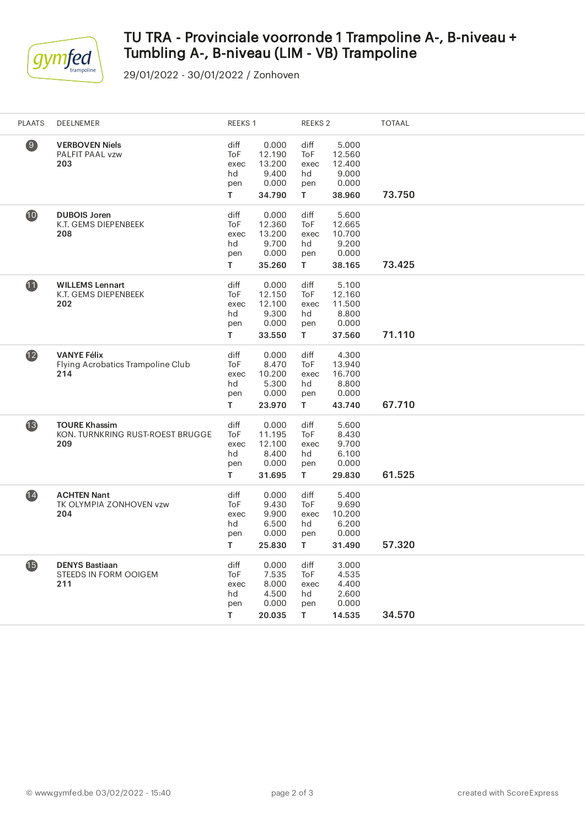

# TU TRA - Provinciale voorronde 1 Trampoline A-, B-niveau + Tumbling A-, B-niveau (LIM - VB) Trampoline

29/01/2022 - 30/01/2022 / Zonhoven

| <b>PLAATS</b>   | DEELNEMER                                                       | REEKS 1                                | <b>REEKS 2</b>                                        |                                        |                                                       | <b>TOTAAL</b> |
|-----------------|-----------------------------------------------------------------|----------------------------------------|-------------------------------------------------------|----------------------------------------|-------------------------------------------------------|---------------|
| $\circledcirc$  | <b>VERBOVEN Niels</b><br>PALFIT PAAL vzw<br>203                 | diff<br>ToF<br>exec<br>hd<br>pen<br>T. | 0.000<br>12.190<br>13.200<br>9.400<br>0.000<br>34.790 | diff<br>ToF<br>exec<br>hd<br>pen<br>T. | 5.000<br>12.560<br>12.400<br>9.000<br>0.000<br>38.960 | 73.750        |
| 10              | <b>DUBOIS Joren</b><br>K.T. GEMS DIEPENBEEK<br>208              | diff<br>ToF<br>exec<br>hd<br>pen<br>T. | 0.000<br>12.360<br>13.200<br>9.700<br>0.000<br>35.260 | diff<br>ToF<br>exec<br>hd<br>pen<br>T. | 5.600<br>12.665<br>10.700<br>9.200<br>0.000<br>38.165 | 73.425        |
| 1               | <b>WILLEMS Lennart</b><br>K.T. GEMS DIEPENBEEK<br>202           | diff<br>ToF<br>exec<br>hd<br>pen<br>T. | 0.000<br>12.150<br>12.100<br>9.300<br>0.000<br>33.550 | diff<br>ToF<br>exec<br>hd<br>pen<br>T. | 5.100<br>12.160<br>11.500<br>8.800<br>0.000<br>37.560 | 71.110        |
| $\mathbf{12}$   | <b>VANYE Félix</b><br>Flying Acrobatics Trampoline Club<br>214  | diff<br>ToF<br>exec<br>hd<br>pen<br>T. | 0.000<br>8.470<br>10.200<br>5.300<br>0.000<br>23.970  | diff<br>ToF<br>exec<br>hd<br>pen<br>T. | 4.300<br>13.940<br>16.700<br>8.800<br>0.000<br>43.740 | 67.710        |
| 13              | <b>TOURE Khassim</b><br>KON. TURNKRING RUST-ROEST BRUGGE<br>209 | diff<br>ToF<br>exec<br>hd<br>pen<br>T. | 0.000<br>11.195<br>12.100<br>8.400<br>0.000<br>31.695 | diff<br>ToF<br>exec<br>hd<br>pen<br>T. | 5.600<br>8.430<br>9.700<br>6.100<br>0.000<br>29.830   | 61.525        |
| $\overline{14}$ | <b>ACHTEN Nant</b><br>TK OLYMPIA ZONHOVEN vzw<br>204            | diff<br>ToF<br>exec<br>hd<br>pen<br>T. | 0.000<br>9.430<br>9.900<br>6.500<br>0.000<br>25.830   | diff<br>ToF<br>exec<br>hd<br>pen<br>T. | 5.400<br>9.690<br>10.200<br>6.200<br>0.000<br>31.490  | 57.320        |
| <b>15</b>       | <b>DENYS Bastiaan</b><br>STEEDS IN FORM OOIGEM<br>211           | diff<br>ToF<br>exec<br>hd<br>pen<br>T  | 0.000<br>7.535<br>8.000<br>4.500<br>0.000<br>20.035   | diff<br>ToF<br>exec<br>hd<br>pen<br>T. | 3.000<br>4.535<br>4.400<br>2.600<br>0.000<br>14.535   | 34.570        |